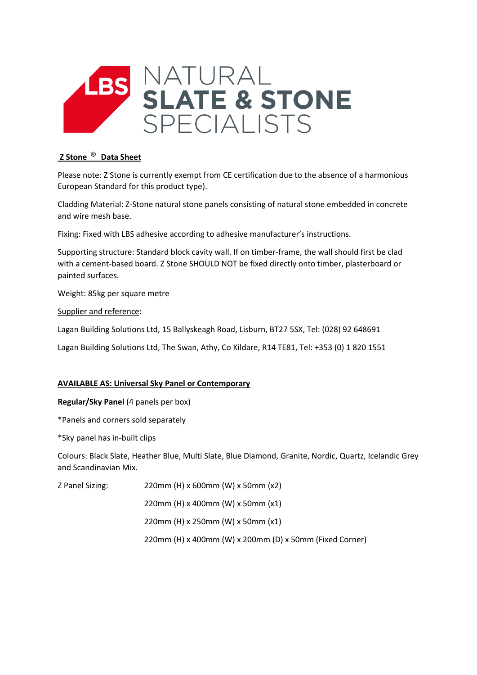

## **Z Stone Data Sheet**

Please note: Z Stone is currently exempt from CE certification due to the absence of a harmonious European Standard for this product type).

Cladding Material: Z-Stone natural stone panels consisting of natural stone embedded in concrete and wire mesh base.

Fixing: Fixed with LBS adhesive according to adhesive manufacturer's instructions.

Supporting structure: Standard block cavity wall. If on timber-frame, the wall should first be clad with a cement-based board. Z Stone SHOULD NOT be fixed directly onto timber, plasterboard or painted surfaces.

Weight: 85kg per square metre

Supplier and reference:

Lagan Building Solutions Ltd, 15 Ballyskeagh Road, Lisburn, BT27 5SX, Tel: (028) 92 648691

Lagan Building Solutions Ltd, The Swan, Athy, Co Kildare, R14 TE81, Tel: +353 (0) 1 820 1551

## **AVAILABLE AS: Universal Sky Panel or Contemporary**

**Regular/Sky Panel** (4 panels per box)

\*Panels and corners sold separately

\*Sky panel has in-built clips

Colours: Black Slate, Heather Blue, Multi Slate, Blue Diamond, Granite, Nordic, Quartz, Icelandic Grey and Scandinavian Mix.

Z Panel Sizing: 220mm (H) x 600mm (W) x 50mm (x2)

220mm (H) x 400mm (W) x 50mm (x1)

220mm (H) x 250mm (W) x 50mm (x1)

220mm (H) x 400mm (W) x 200mm (D) x 50mm (Fixed Corner)